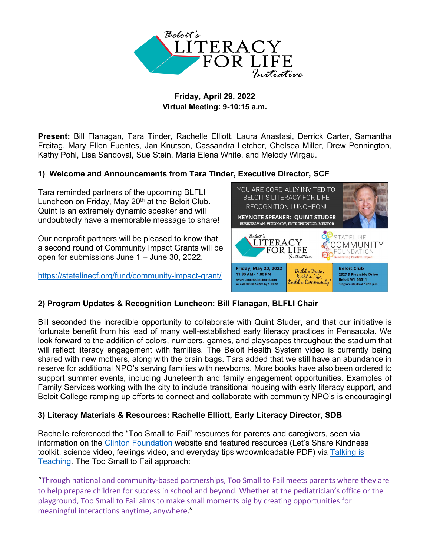

### **Friday, April 29, 2022 Virtual Meeting: 9-10:15 a.m.**

**Present:** Bill Flanagan, Tara Tinder, Rachelle Elliott, Laura Anastasi, Derrick Carter, Samantha Freitag, Mary Ellen Fuentes, Jan Knutson, Cassandra Letcher, Chelsea Miller, Drew Pennington, Kathy Pohl, Lisa Sandoval, Sue Stein, Maria Elena White, and Melody Wirgau.

# **1) Welcome and Announcements from Tara Tinder, Executive Director, SCF**

Tara reminded partners of the upcoming BLFLI Luncheon on Friday, May 20<sup>th</sup> at the Beloit Club. Quint is an extremely dynamic speaker and will undoubtedly have a memorable message to share!

Our nonprofit partners will be pleased to know that a second round of Community Impact Grants will be open for submissions June 1 – June 30, 2022.

<https://statelinecf.org/fund/community-impact-grant/>



## **2) Program Updates & Recognition Luncheon: Bill Flanagan, BLFLI Chair**

Bill seconded the incredible opportunity to collaborate with Quint Studer, and that our initiative is fortunate benefit from his lead of many well-established early literacy practices in Pensacola. We look forward to the addition of colors, numbers, games, and playscapes throughout the stadium that will reflect literacy engagement with families. The Beloit Health System video is currently being shared with new mothers, along with the brain bags. Tara added that we still have an abundance in reserve for additional NPO's serving families with newborns. More books have also been ordered to support summer events, including Juneteenth and family engagement opportunities. Examples of Family Services working with the city to include transitional housing with early literacy support, and Beloit College ramping up efforts to connect and collaborate with community NPO's is encouraging!

## **3) Literacy Materials & Resources: Rachelle Elliott, Early Literacy Director, SDB**

Rachelle referenced the "Too Small to Fail" resources for parents and caregivers, seen via information on the [Clinton Foundation](https://www.clintonfoundation.org/programs/education-health-equity/too-small-fail/) website and featured resources (Let's Share Kindness toolkit, science video, feelings video, and everyday tips w/downloadable PDF) via [Talking is](https://talkingisteaching.org/) [Teaching.](https://talkingisteaching.org/) The Too Small to Fail approach:

"Through national and community-based partnerships, Too Small to Fail meets parents where they are to help prepare children for success in school and beyond. Whether at the pediatrician's office or the playground, Too Small to Fail aims to make small moments big by creating opportunities for meaningful interactions anytime, anywhere."